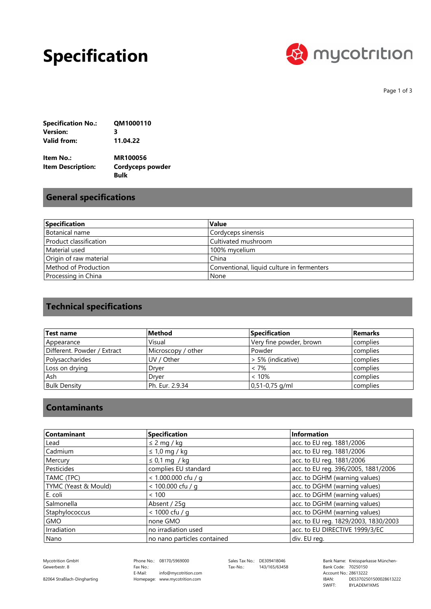## **Specification**



Page 1 of 3

| <b>Specification No.:</b> | QM1000110 |
|---------------------------|-----------|
| Version:                  | з         |
| Valid from:               | 11.04.22  |

| Item No.:         | MR100056                |
|-------------------|-------------------------|
| Item Description: | <b>Cordyceps powder</b> |
|                   | <b>Bulk</b>             |

### **General specifications**

| Specification          | Value                                      |
|------------------------|--------------------------------------------|
| Botanical name         | Cordyceps sinensis                         |
| Product classification | Cultivated mushroom                        |
| Material used          | 100% mycelium                              |
| Origin of raw material | China                                      |
| Method of Production   | Conventional, liquid culture in fermenters |
| Processing in China    | None                                       |

## **Technical specifications**

| Test name                   | Method             | <b>Specification</b>    | <b>Remarks</b> |
|-----------------------------|--------------------|-------------------------|----------------|
| Appearance                  | Visual             | Very fine powder, brown | complies       |
| Different. Powder / Extract | Microscopy / other | Powder                  | complies       |
| Polysaccharides             | UV / Other         | > 5% (indicative)       | complies       |
| Loss on drying              | Dryer              | < 7%                    | complies       |
| . Ash                       | Drver              | < 10%                   | complies       |
| <b>Bulk Density</b>         | Ph. Eur. 2.9.34    | $ 0,51-0,75$ g/ml       | complies       |

#### **Contaminants**

| Contaminant          | Specification               | <b>Information</b>                   |
|----------------------|-----------------------------|--------------------------------------|
| Lead                 | $\leq$ 2 mg / kg            | acc. to EU reg. 1881/2006            |
| Cadmium              | $\leq 1.0$ mg / kg          | acc. to EU reg. 1881/2006            |
| Mercury              | $\leq$ 0,1 mg / kg          | acc. to EU reg. 1881/2006            |
| Pesticides           | complies EU standard        | acc. to EU reg. 396/2005, 1881/2006  |
| TAMC (TPC)           | < 1.000.000 cfu / g         | acc. to DGHM (warning values)        |
| TYMC (Yeast & Mould) | < 100.000 cfu / q           | acc. to DGHM (warning values)        |
| E. coli              | < 100                       | acc. to DGHM (warning values)        |
| Salmonella           | Absent / 25g                | acc. to DGHM (warning values)        |
| Staphylococcus       | < 1000 cfu / g              | acc. to DGHM (warning values)        |
| <b>GMO</b>           | none GMO                    | acc. to EU reg. 1829/2003, 1830/2003 |
| Irradiation          | no irradiation used         | acc. to EU DIRECTIVE 1999/3/EC       |
| Nano                 | no nano particles contained | div. EU reg.                         |

Gewerbestr. 8

Phone No.: 08170/5969000 Homepage: www.mycotrition.com E-Mail: Fax No.: info@mycotrition.com

Tax-No.: 143/165/63458

Mycotrition GmbH 08170/5969000 Sales Tax No.: DE309418046 Bank Name: Kreissparkasse München-Bank Code: 70250150 SWIFT: IBAN: Bank Code: 70250150<br>Account No.: 28613222 DE53702501500028613222 BYLADEM1KMS

82064 Straßlach-Dingharting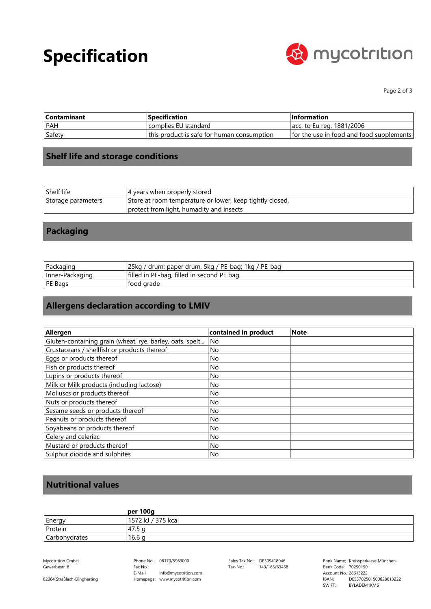# **Specification**



Page 2 of 3

| <b>Contaminant</b> | <b>Specification</b>                       | $\blacksquare$ Information               |
|--------------------|--------------------------------------------|------------------------------------------|
| l PAH              | complies EU standard                       | acc. to Eu reg. 1881/2006                |
| Safety             | this product is safe for human consumption | for the use in food and food supplements |

### **Shelf life and storage conditions**

| Shelf life         | 4 years when properly stored                             |
|--------------------|----------------------------------------------------------|
| Storage parameters | Store at room temperature or lower, keep tightly closed, |
|                    | protect from light, humadity and insects                 |

### **Packaging**

| Packaging       | 25kg / drum; paper drum, 5kg / PE-bag; 1kg / PE-bag |
|-----------------|-----------------------------------------------------|
| Inner-Packaging | filled in PE-bag, filled in second PE bag           |
| <b>PE Bags</b>  | tood grade                                          |

## **Allergens declaration according to LMIV**

| Allergen                                                 | contained in product | <b>Note</b> |
|----------------------------------------------------------|----------------------|-------------|
| Gluten-containing grain (wheat, rye, barley, oats, spelt | No                   |             |
| Crustaceans / shellfish or products thereof              | No                   |             |
| Eggs or products thereof                                 | No.                  |             |
| Fish or products thereof                                 | No.                  |             |
| Lupins or products thereof                               | No.                  |             |
| Milk or Milk products (including lactose)                | No                   |             |
| Molluscs or products thereof                             | No.                  |             |
| Nuts or products thereof                                 | No                   |             |
| Sesame seeds or products thereof                         | No.                  |             |
| Peanuts or products thereof                              | No                   |             |
| Soyabeans or products thereof                            | No.                  |             |
| Celery and celeriac                                      | <b>No</b>            |             |
| Mustard or products thereof                              | No.                  |             |
| Sulphur diocide and sulphites                            | No                   |             |

#### **Nutritional values**

|               | per 100g           |
|---------------|--------------------|
| Energy        | 1572 kJ / 375 kcal |
| Protein       | 47.5 <sub>a</sub>  |
| Carbohydrates | 16.6 g             |

Gewerbestr. 8

82064 Straßlach-Dingharting

Phone No.: 08170/5969000 Homepage: www.mycotrition.com E-Mail: Fax No.: info@mycotrition.com

Tax-No.: 143/165/63458

Mycotrition GmbH 08170/5969000 Sales Tax No.: DE309418046 Bank Name: Kreissparkasse München-Bank Code: 70250150 SWIFT: IBAN: Bank Code: 70250150<br>Account No.: 28613222 DE53702501500028613222 BYLADEM1KMS